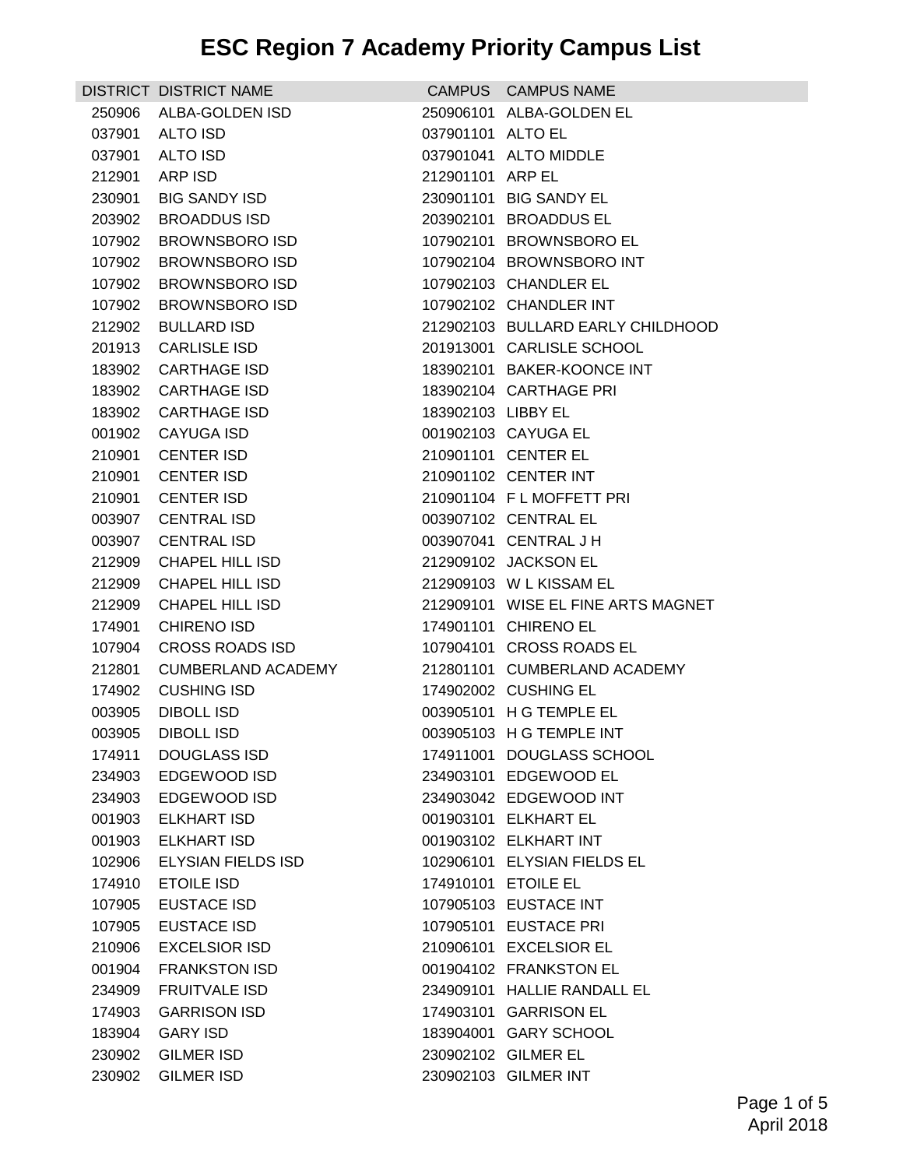|        | DISTRICT DISTRICT NAME |                    | CAMPUS CAMPUS NAME                 |
|--------|------------------------|--------------------|------------------------------------|
| 250906 | ALBA-GOLDEN ISD        |                    | 250906101 ALBA-GOLDEN EL           |
|        | 037901 ALTO ISD        | 037901101 ALTO EL  |                                    |
| 037901 | ALTO ISD               |                    | 037901041 ALTO MIDDLE              |
| 212901 | ARP ISD                | 212901101 ARP EL   |                                    |
| 230901 | BIG SANDY ISD          |                    | 230901101 BIG SANDY EL             |
| 203902 | <b>BROADDUS ISD</b>    |                    | 203902101 BROADDUS EL              |
| 107902 | <b>BROWNSBORO ISD</b>  |                    | 107902101 BROWNSBORO EL            |
| 107902 | BROWNSBORO ISD         |                    | 107902104 BROWNSBORO INT           |
| 107902 | <b>BROWNSBORO ISD</b>  |                    | 107902103 CHANDLER EL              |
| 107902 | BROWNSBORO ISD         |                    | 107902102 CHANDLER INT             |
| 212902 | <b>BULLARD ISD</b>     |                    | 212902103 BULLARD EARLY CHILDHOOD  |
| 201913 | <b>CARLISLE ISD</b>    |                    | 201913001 CARLISLE SCHOOL          |
| 183902 | CARTHAGE ISD           |                    | 183902101 BAKER-KOONCE INT         |
| 183902 | CARTHAGE ISD           |                    | 183902104 CARTHAGE PRI             |
| 183902 | CARTHAGE ISD           | 183902103 LIBBY EL |                                    |
| 001902 | CAYUGA ISD             |                    | 001902103 CAYUGA EL                |
| 210901 | CENTER ISD             |                    | 210901101 CENTER EL                |
| 210901 | <b>CENTER ISD</b>      |                    | 210901102 CENTER INT               |
| 210901 | CENTER ISD             |                    | 210901104 FL MOFFETT PRI           |
|        | 003907 CENTRAL ISD     |                    | 003907102 CENTRAL EL               |
|        | 003907 CENTRAL ISD     |                    | 003907041 CENTRAL J H              |
| 212909 | CHAPEL HILL ISD        |                    | 212909102 JACKSON EL               |
| 212909 | CHAPEL HILL ISD        |                    | 212909103 W L KISSAM EL            |
| 212909 | CHAPEL HILL ISD        |                    | 212909101 WISE EL FINE ARTS MAGNET |
| 174901 | <b>CHIRENO ISD</b>     |                    | 174901101 CHIRENO EL               |
| 107904 | CROSS ROADS ISD        |                    | 107904101 CROSS ROADS EL           |
| 212801 | CUMBERLAND ACADEMY     |                    | 212801101 CUMBERLAND ACADEMY       |
| 174902 | CUSHING ISD            |                    | 174902002 CUSHING EL               |
| 003905 | <b>DIBOLL ISD</b>      |                    | 003905101 H G TEMPLE EL            |
| 003905 | DIBOLL ISD             |                    | 003905103 H G TEMPLE INT           |
| 174911 | <b>DOUGLASS ISD</b>    |                    | 174911001 DOUGLASS SCHOOL          |
| 234903 | EDGEWOOD ISD           |                    | 234903101 EDGEWOOD EL              |
| 234903 | EDGEWOOD ISD           |                    | 234903042 EDGEWOOD INT             |
| 001903 | <b>ELKHART ISD</b>     |                    | 001903101 ELKHART EL               |
| 001903 | <b>ELKHART ISD</b>     |                    | 001903102 ELKHART INT              |
| 102906 | ELYSIAN FIELDS ISD     |                    | 102906101 ELYSIAN FIELDS EL        |
| 174910 | <b>ETOILE ISD</b>      |                    | 174910101 ETOILE EL                |
| 107905 | EUSTACE ISD            |                    | 107905103 EUSTACE INT              |
| 107905 | EUSTACE ISD            |                    | 107905101 EUSTACE PRI              |
| 210906 | <b>EXCELSIOR ISD</b>   |                    | 210906101 EXCELSIOR EL             |
| 001904 | <b>FRANKSTON ISD</b>   |                    | 001904102 FRANKSTON EL             |
| 234909 | <b>FRUITVALE ISD</b>   |                    | 234909101 HALLIE RANDALL EL        |
| 174903 | <b>GARRISON ISD</b>    |                    | 174903101 GARRISON EL              |
| 183904 | <b>GARY ISD</b>        |                    | 183904001 GARY SCHOOL              |
| 230902 | <b>GILMER ISD</b>      |                    | 230902102 GILMER EL                |
| 230902 | <b>GILMER ISD</b>      |                    | 230902103 GILMER INT               |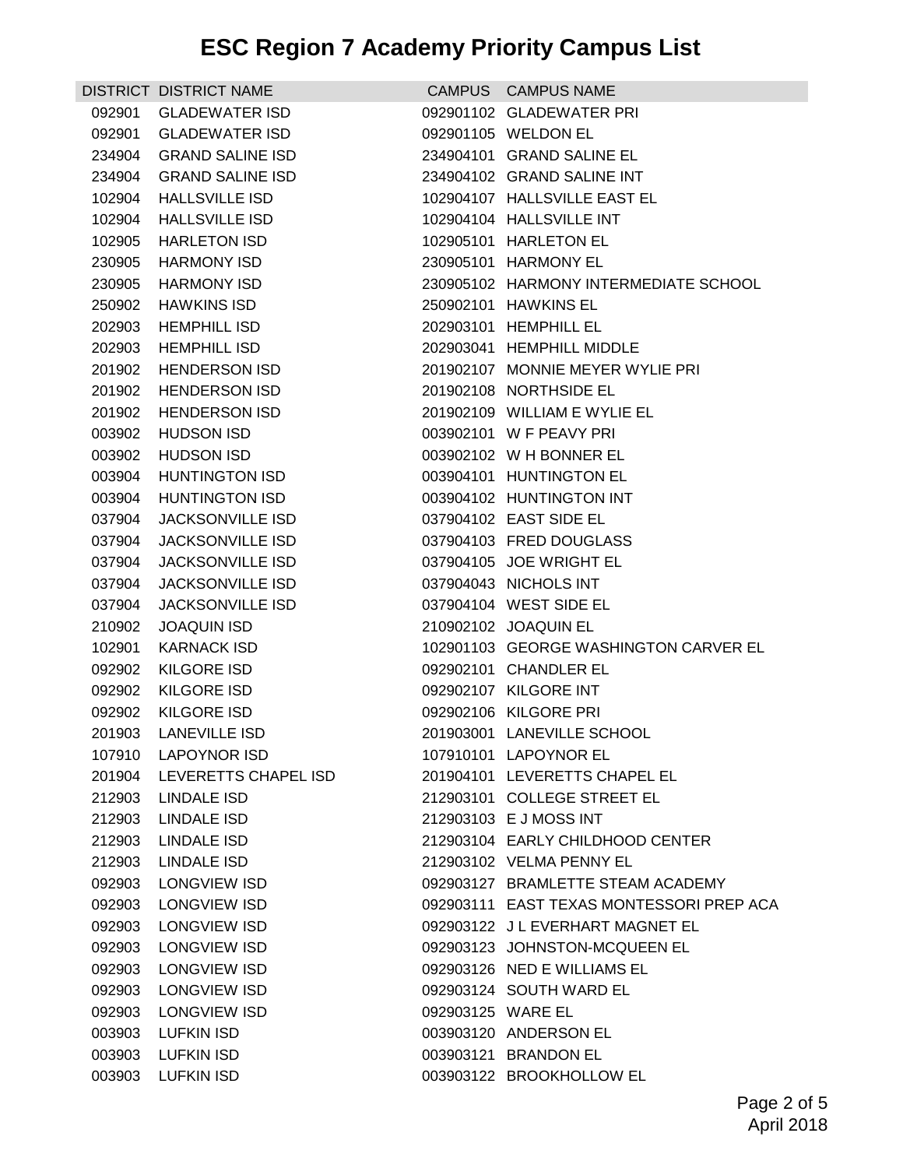|        | DISTRICT DISTRICT NAME                     |                   | CAMPUS CAMPUS NAME                                               |
|--------|--------------------------------------------|-------------------|------------------------------------------------------------------|
| 092901 | <b>GLADEWATER ISD</b>                      |                   | 092901102 GLADEWATER PRI                                         |
| 092901 | <b>GLADEWATER ISD</b>                      |                   | 092901105 WELDON EL                                              |
| 234904 | <b>GRAND SALINE ISD</b>                    |                   | 234904101 GRAND SALINE EL                                        |
| 234904 | <b>GRAND SALINE ISD</b>                    |                   | 234904102 GRAND SALINE INT                                       |
|        | 102904 HALLSVILLE ISD                      |                   | 102904107 HALLSVILLE EAST EL                                     |
| 102904 | <b>HALLSVILLE ISD</b>                      |                   | 102904104 HALLSVILLE INT                                         |
| 102905 | <b>HARLETON ISD</b>                        |                   | 102905101 HARLETON EL                                            |
| 230905 | <b>HARMONY ISD</b>                         |                   | 230905101 HARMONY EL                                             |
| 230905 | <b>HARMONY ISD</b>                         |                   | 230905102 HARMONY INTERMEDIATE SCHOOL                            |
| 250902 | <b>HAWKINS ISD</b>                         |                   | 250902101 HAWKINS EL                                             |
| 202903 | <b>HEMPHILL ISD</b>                        |                   | 202903101 HEMPHILL EL                                            |
| 202903 | <b>HEMPHILL ISD</b>                        |                   | 202903041 HEMPHILL MIDDLE                                        |
| 201902 | <b>HENDERSON ISD</b>                       |                   | 201902107 MONNIE MEYER WYLIE PRI                                 |
| 201902 | <b>HENDERSON ISD</b>                       |                   | 201902108 NORTHSIDE EL                                           |
| 201902 | <b>HENDERSON ISD</b>                       |                   | 201902109 WILLIAM E WYLIE EL                                     |
| 003902 | HUDSON ISD                                 |                   | 003902101 W F PEAVY PRI                                          |
| 003902 | <b>HUDSON ISD</b>                          |                   | 003902102 W H BONNER EL                                          |
| 003904 | <b>HUNTINGTON ISD</b>                      |                   | 003904101 HUNTINGTON EL                                          |
| 003904 | <b>HUNTINGTON ISD</b>                      |                   | 003904102 HUNTINGTON INT                                         |
| 037904 | <b>JACKSONVILLE ISD</b>                    |                   | 037904102 EAST SIDE EL                                           |
| 037904 | <b>JACKSONVILLE ISD</b>                    |                   | 037904103 FRED DOUGLASS                                          |
| 037904 | <b>JACKSONVILLE ISD</b>                    |                   | 037904105 JOE WRIGHT EL                                          |
| 037904 | <b>JACKSONVILLE ISD</b>                    |                   | 037904043 NICHOLS INT                                            |
| 037904 | <b>JACKSONVILLE ISD</b>                    |                   | 037904104 WEST SIDE EL                                           |
| 210902 | <b>JOAQUIN ISD</b>                         |                   | 210902102 JOAQUIN EL                                             |
| 102901 | <b>KARNACK ISD</b>                         |                   | 102901103 GEORGE WASHINGTON CARVER EL                            |
| 092902 | KILGORE ISD                                |                   | 092902101 CHANDLER EL                                            |
| 092902 | KILGORE ISD                                |                   | 092902107 KILGORE INT                                            |
| 092902 | KILGORE ISD                                |                   | 092902106 KILGORE PRI                                            |
|        | 201903 LANEVILLE ISD                       |                   | 201903001 LANEVILLE SCHOOL                                       |
|        | 107910 LAPOYNOR ISD                        |                   | 107910101 LAPOYNOR EL                                            |
|        | 201904 LEVERETTS CHAPEL ISD                |                   | 201904101 LEVERETTS CHAPEL EL                                    |
|        | 212903 LINDALE ISD                         |                   | 212903101 COLLEGE STREET EL                                      |
|        | 212903 LINDALE ISD                         |                   | 212903103 E J MOSS INT                                           |
|        | 212903 LINDALE ISD                         |                   | 212903104 EARLY CHILDHOOD CENTER                                 |
|        | 212903 LINDALE ISD                         |                   | 212903102 VELMA PENNY EL                                         |
|        | 092903 LONGVIEW ISD                        |                   | 092903127 BRAMLETTE STEAM ACADEMY                                |
| 092903 | <b>LONGVIEW ISD</b>                        |                   | 092903111 EAST TEXAS MONTESSORI PREP ACA                         |
|        | 092903 LONGVIEW ISD<br>092903 LONGVIEW ISD |                   | 092903122 JL EVERHART MAGNET EL<br>092903123 JOHNSTON-MCQUEEN EL |
|        | 092903 LONGVIEW ISD                        |                   | 092903126 NED E WILLIAMS EL                                      |
|        | 092903 LONGVIEW ISD                        |                   | 092903124 SOUTH WARD EL                                          |
| 092903 | LONGVIEW ISD                               | 092903125 WARE EL |                                                                  |
| 003903 | <b>LUFKIN ISD</b>                          |                   | 003903120 ANDERSON EL                                            |
|        | 003903 LUFKIN ISD                          |                   | 003903121 BRANDON EL                                             |
|        | 003903 LUFKIN ISD                          |                   | 003903122 BROOKHOLLOW EL                                         |
|        |                                            |                   |                                                                  |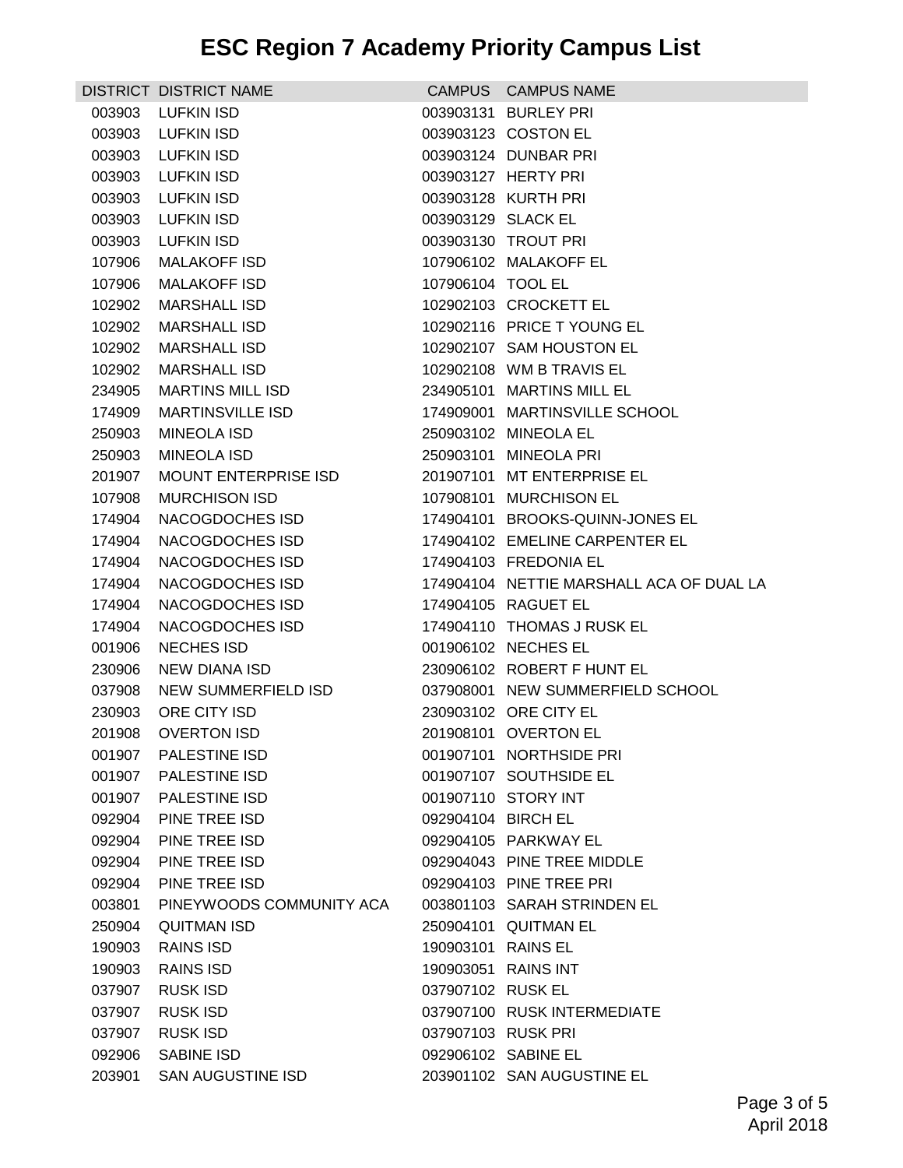|        | DISTRICT DISTRICT NAME      |                    | CAMPUS CAMPUS NAME                       |
|--------|-----------------------------|--------------------|------------------------------------------|
| 003903 | LUFKIN ISD                  |                    | 003903131 BURLEY PRI                     |
| 003903 | <b>LUFKIN ISD</b>           |                    | 003903123 COSTON EL                      |
| 003903 | LUFKIN ISD                  |                    | 003903124 DUNBAR PRI                     |
| 003903 | LUFKIN ISD                  |                    | 003903127 HERTY PRI                      |
| 003903 | LUFKIN ISD                  |                    | 003903128 KURTH PRI                      |
| 003903 | <b>LUFKIN ISD</b>           | 003903129 SLACK EL |                                          |
| 003903 | <b>LUFKIN ISD</b>           |                    | 003903130 TROUT PRI                      |
| 107906 | <b>MALAKOFF ISD</b>         |                    | 107906102 MALAKOFF EL                    |
| 107906 | <b>MALAKOFF ISD</b>         | 107906104 TOOL EL  |                                          |
| 102902 | MARSHALL ISD                |                    | 102902103 CROCKETT EL                    |
| 102902 | <b>MARSHALL ISD</b>         |                    | 102902116 PRICE T YOUNG EL               |
| 102902 | MARSHALL ISD                |                    | 102902107 SAM HOUSTON EL                 |
| 102902 | MARSHALL ISD                |                    | 102902108 WM B TRAVIS EL                 |
| 234905 | MARTINS MILL ISD            |                    | 234905101 MARTINS MILL EL                |
| 174909 | MARTINSVILLE ISD            |                    | 174909001 MARTINSVILLE SCHOOL            |
| 250903 | MINEOLA ISD                 |                    | 250903102 MINEOLA EL                     |
| 250903 | MINEOLA ISD                 |                    | 250903101 MINEOLA PRI                    |
| 201907 | <b>MOUNT ENTERPRISE ISD</b> |                    | 201907101 MT ENTERPRISE EL               |
| 107908 | <b>MURCHISON ISD</b>        |                    | 107908101 MURCHISON EL                   |
| 174904 | NACOGDOCHES ISD             |                    | 174904101 BROOKS-QUINN-JONES EL          |
| 174904 | NACOGDOCHES ISD             |                    | 174904102 EMELINE CARPENTER EL           |
| 174904 | NACOGDOCHES ISD             |                    | 174904103 FREDONIA EL                    |
| 174904 | NACOGDOCHES ISD             |                    | 174904104 NETTIE MARSHALL ACA OF DUAL LA |
| 174904 | NACOGDOCHES ISD             |                    | 174904105 RAGUET EL                      |
| 174904 | NACOGDOCHES ISD             |                    | 174904110 THOMAS J RUSK EL               |
| 001906 | <b>NECHES ISD</b>           |                    | 001906102 NECHES EL                      |
| 230906 | NEW DIANA ISD               |                    | 230906102 ROBERT F HUNT EL               |
| 037908 | NEW SUMMERFIELD ISD         |                    | 037908001 NEW SUMMERFIELD SCHOOL         |
| 230903 | ORE CITY ISD                |                    | 230903102 ORE CITY EL                    |
|        | 201908 OVERTON ISD          |                    | 201908101 OVERTON EL                     |
|        | 001907 PALESTINE ISD        |                    | 001907101 NORTHSIDE PRI                  |
|        | 001907 PALESTINE ISD        |                    | 001907107 SOUTHSIDE EL                   |
| 001907 | <b>PALESTINE ISD</b>        |                    | 001907110 STORY INT                      |
| 092904 | PINE TREE ISD               | 092904104 BIRCH EL |                                          |
| 092904 | PINE TREE ISD               |                    | 092904105 PARKWAY EL                     |
| 092904 | PINE TREE ISD               |                    | 092904043 PINE TREE MIDDLE               |
| 092904 | PINE TREE ISD               |                    | 092904103 PINE TREE PRI                  |
| 003801 | PINEYWOODS COMMUNITY ACA    |                    | 003801103 SARAH STRINDEN EL              |
| 250904 | <b>QUITMAN ISD</b>          |                    | 250904101 QUITMAN EL                     |
| 190903 | <b>RAINS ISD</b>            | 190903101 RAINS EL |                                          |
| 190903 | RAINS ISD                   |                    | 190903051 RAINS INT                      |
| 037907 | <b>RUSK ISD</b>             | 037907102 RUSK EL  |                                          |
| 037907 | RUSK ISD                    |                    | 037907100 RUSK INTERMEDIATE              |
| 037907 | <b>RUSK ISD</b>             | 037907103 RUSK PRI |                                          |
| 092906 | <b>SABINE ISD</b>           |                    | 092906102 SABINE EL                      |
|        | 203901 SAN AUGUSTINE ISD    |                    | 203901102 SAN AUGUSTINE EL               |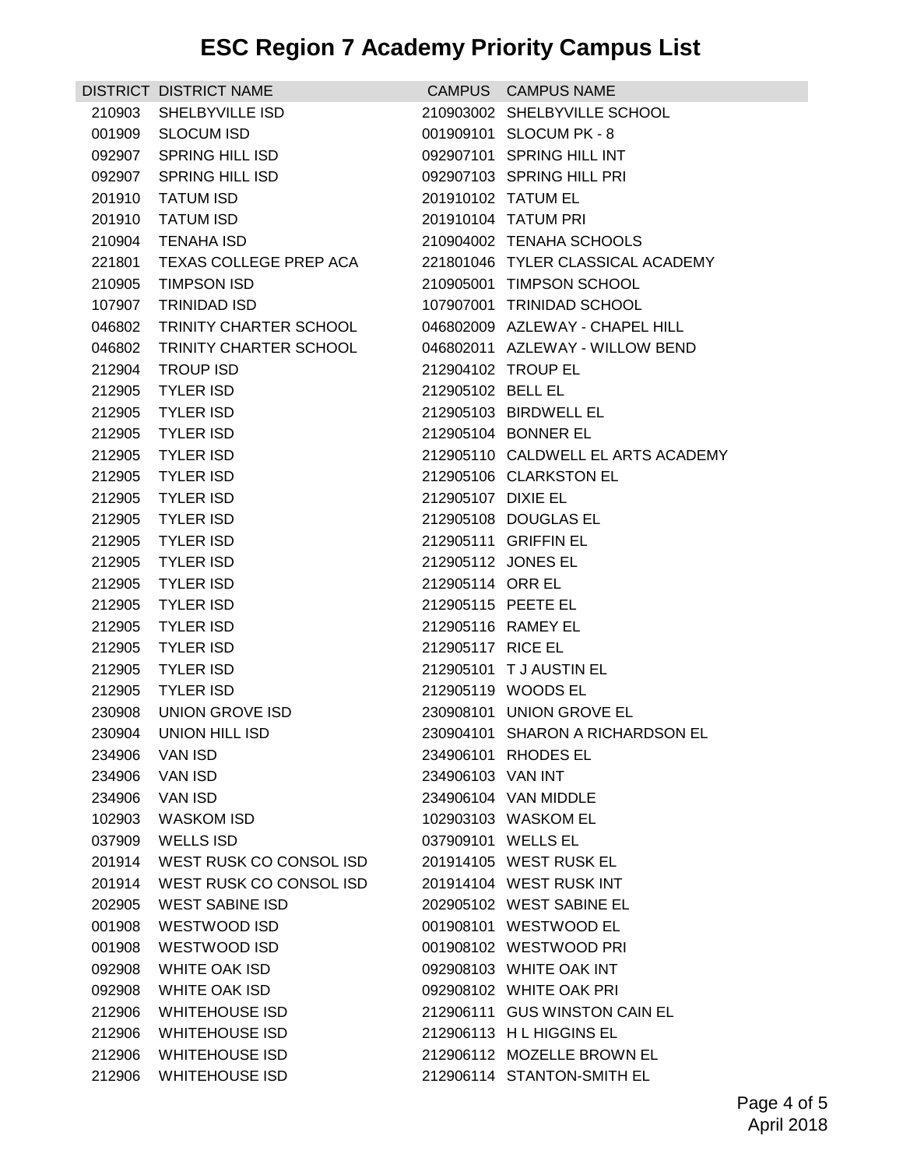|        | DISTRICT DISTRICT NAME         |                    | CAMPUS CAMPUS NAME                 |
|--------|--------------------------------|--------------------|------------------------------------|
|        | 210903 SHELBYVILLE ISD         |                    | 210903002 SHELBYVILLE SCHOOL       |
|        | 001909 SLOCUM ISD              |                    | 001909101 SLOCUM PK - 8            |
|        | 092907 SPRING HILL ISD         |                    | 092907101 SPRING HILL INT          |
|        | 092907 SPRING HILL ISD         |                    | 092907103 SPRING HILL PRI          |
|        | 201910 TATUM ISD               | 201910102 TATUM EL |                                    |
| 201910 | TATUM ISD                      |                    | 201910104 TATUM PRI                |
|        | 210904 TENAHA ISD              |                    | 210904002 TENAHA SCHOOLS           |
|        | 221801 TEXAS COLLEGE PREP ACA  |                    | 221801046 TYLER CLASSICAL ACADEMY  |
|        | 210905 TIMPSON ISD             |                    | 210905001 TIMPSON SCHOOL           |
|        | 107907 TRINIDAD ISD            |                    | 107907001 TRINIDAD SCHOOL          |
| 046802 | TRINITY CHARTER SCHOOL         |                    | 046802009 AZLEWAY - CHAPEL HILL    |
|        | 046802 TRINITY CHARTER SCHOOL  |                    | 046802011 AZLEWAY - WILLOW BEND    |
|        | 212904 TROUP ISD               |                    | 212904102 TROUP EL                 |
|        | 212905 TYLER ISD               | 212905102 BELL EL  |                                    |
|        | 212905 TYLER ISD               |                    | 212905103 BIRDWELL EL              |
|        | 212905 TYLER ISD               |                    | 212905104 BONNER EL                |
|        | 212905 TYLER ISD               |                    | 212905110 CALDWELL EL ARTS ACADEMY |
| 212905 | <b>TYLER ISD</b>               |                    | 212905106 CLARKSTON EL             |
|        | 212905 TYLER ISD               | 212905107 DIXIE EL |                                    |
|        | 212905 TYLER ISD               |                    | 212905108 DOUGLAS EL               |
|        | 212905 TYLER ISD               |                    | 212905111 GRIFFIN EL               |
|        | 212905 TYLER ISD               | 212905112 JONES EL |                                    |
| 212905 | TYLER ISD                      | 212905114 ORR EL   |                                    |
|        | 212905 TYLER ISD               | 212905115 PEETE EL |                                    |
| 212905 | TYLER ISD                      |                    | 212905116 RAMEY EL                 |
| 212905 | <b>TYLER ISD</b>               | 212905117 RICE EL  |                                    |
| 212905 | <b>TYLER ISD</b>               |                    | 212905101 T J AUSTIN EL            |
|        | 212905 TYLER ISD               |                    | 212905119 WOODS EL                 |
|        | 230908 UNION GROVE ISD         |                    | 230908101 UNION GROVE EL           |
| 230904 | <b>UNION HILL ISD</b>          |                    | 230904101 SHARON A RICHARDSON EL   |
| 234906 | VAN ISD                        |                    | 234906101 RHODES EL                |
| 234906 | VAN ISD                        | 234906103 VAN INT  |                                    |
| 234906 | VAN ISD                        |                    | 234906104 VAN MIDDLE               |
| 102903 | WASKOM ISD                     |                    | 102903103 WASKOM EL                |
|        | 037909 WELLS ISD               | 037909101 WELLS EL |                                    |
|        | 201914 WEST RUSK CO CONSOL ISD |                    | 201914105 WEST RUSK EL             |
| 201914 | WEST RUSK CO CONSOL ISD        |                    | 201914104 WEST RUSK INT            |
| 202905 | <b>WEST SABINE ISD</b>         |                    | 202905102 WEST SABINE EL           |
| 001908 | WESTWOOD ISD                   |                    | 001908101 WESTWOOD EL              |
| 001908 | WESTWOOD ISD                   |                    | 001908102 WESTWOOD PRI             |
| 092908 | WHITE OAK ISD                  |                    | 092908103 WHITE OAK INT            |
| 092908 | WHITE OAK ISD                  |                    | 092908102 WHITE OAK PRI            |
| 212906 | <b>WHITEHOUSE ISD</b>          |                    | 212906111 GUS WINSTON CAIN EL      |
| 212906 | WHITEHOUSE ISD                 |                    | 212906113 H L HIGGINS EL           |
|        | 212906 WHITEHOUSE ISD          |                    | 212906112 MOZELLE BROWN EL         |
|        | 212906 WHITEHOUSE ISD          |                    | 212906114 STANTON-SMITH EL         |